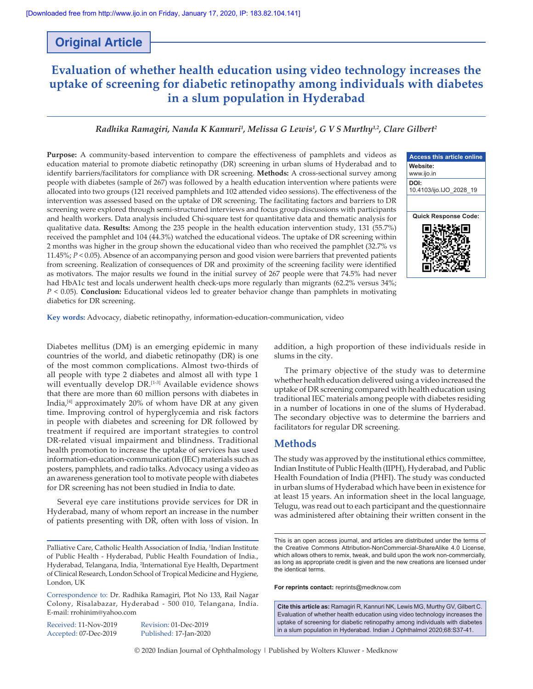## **Original Article**

# **Evaluation of whether health education using video technology increases the uptake of screening for diabetic retinopathy among individuals with diabetes in a slum population in Hyderabad**

### *Radhika Ramagiri, Nanda K Kannuri<sup>1</sup> , Melissa G Lewis1 , G V S Murthy1,2, Clare Gilbert2*

Purpose: A community-based intervention to compare the effectiveness of pamphlets and videos as education material to promote diabetic retinopathy (DR) screening in urban slums of Hyderabad and to identify barriers/facilitators for compliance with DR screening. **Methods:** A cross‑sectional survey among people with diabetes (sample of 267) was followed by a health education intervention where patients were allocated into two groups (121 received pamphlets and 102 attended video sessions). The effectiveness of the intervention was assessed based on the uptake of DR screening. The facilitating factors and barriers to DR screening were explored through semi‑structured interviews and focus group discussions with participants and health workers. Data analysis included Chi‑square test for quantitative data and thematic analysis for qualitative data. **Results:** Among the 235 people in the health education intervention study, 131 (55.7%) received the pamphlet and 104 (44.3%) watched the educational videos. The uptake of DR screening within 2 months was higher in the group shown the educational video than who received the pamphlet (32.7% vs 11.45%; *P* < 0.05). Absence of an accompanying person and good vision were barriers that prevented patients from screening. Realization of consequences of DR and proximity of the screening facility were identified as motivators. The major results we found in the initial survey of 267 people were that 74.5% had never had HbA1c test and locals underwent health check-ups more regularly than migrants (62.2% versus 34%; *P* < 0.05). **Conclusion:** Educational videos led to greater behavior change than pamphlets in motivating diabetics for DR screening.



**Key words:** Advocacy, diabetic retinopathy, information‑education‑communication, video

Diabetes mellitus (DM) is an emerging epidemic in many countries of the world, and diabetic retinopathy (DR) is one of the most common complications. Almost two-thirds of all people with type 2 diabetes and almost all with type 1 will eventually develop DR.<sup>[1-3]</sup> Available evidence shows that there are more than 60 million persons with diabetes in India, $[4]$  approximately 20% of whom have DR at any given time. Improving control of hyperglycemia and risk factors in people with diabetes and screening for DR followed by treatment if required are important strategies to control DR-related visual impairment and blindness. Traditional health promotion to increase the uptake of services has used information‑education‑communication (IEC) materials such as posters, pamphlets, and radio talks. Advocacy using a video as an awareness generation tool to motivate people with diabetes for DR screening has not been studied in India to date.

Several eye care institutions provide services for DR in Hyderabad, many of whom report an increase in the number of patients presenting with DR, often with loss of vision. In

Received: 11-Nov-2019 Revision: 01-Dec-2019

Accepted: 07-Dec-2019 Published: 17-Jan-2020

addition, a high proportion of these individuals reside in slums in the city.

The primary objective of the study was to determine whether health education delivered using a video increased the uptake of DR screening compared with health education using traditional IEC materials among people with diabetes residing in a number of locations in one of the slums of Hyderabad. The secondary objective was to determine the barriers and facilitators for regular DR screening.

### **Methods**

The study was approved by the institutional ethics committee, Indian Institute of Public Health (IIPH), Hyderabad, and Public Health Foundation of India (PHFI). The study was conducted in urban slums of Hyderabad which have been in existence for at least 15 years. An information sheet in the local language, Telugu, was read out to each participant and the questionnaire was administered after obtaining their written consent in the

**For reprints contact:** reprints@medknow.com

© 2020 Indian Journal of Ophthalmology | Published by Wolters Kluwer - Medknow

Palliative Care, Catholic Health Association of India, <sup>1</sup>Indian Institute of Public Health - Hyderabad, Public Health Foundation of India., Hyderabad, Telangana, India, <sup>2</sup>International Eye Health, Department of Clinical Research, London School of Tropical Medicine and Hygiene, London, UK

Correspondence to: Dr. Radhika Ramagiri, Plot No 133, Rail Nagar Colony, Risalabazar, Hyderabad ‑ 500 010, Telangana, India. E‑mail: rrohinim@yahoo.com

This is an open access journal, and articles are distributed under the terms of the Creative Commons Attribution‑NonCommercial‑ShareAlike 4.0 License, which allows others to remix, tweak, and build upon the work non-commercially, as long as appropriate credit is given and the new creations are licensed under the identical terms.

**Cite this article as:** Ramagiri R, Kannuri NK, Lewis MG, Murthy GV, Gilbert C. Evaluation of whether health education using video technology increases the uptake of screening for diabetic retinopathy among individuals with diabetes in a slum population in Hyderabad. Indian J Ophthalmol 2020;68:S37-41.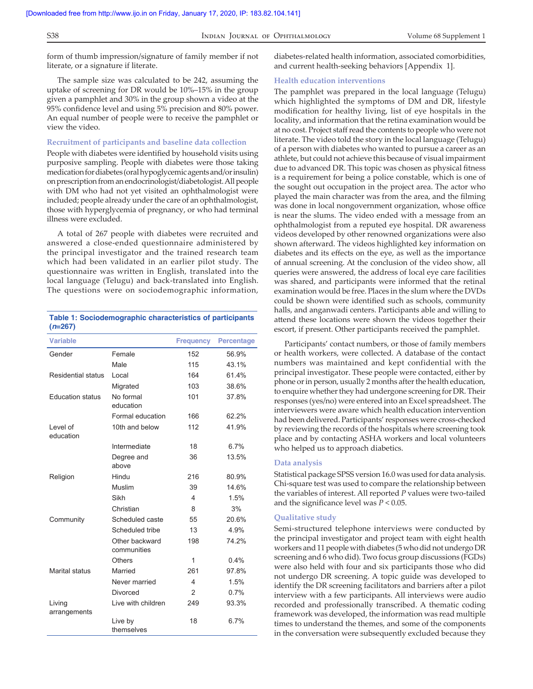form of thumb impression/signature of family member if not literate, or a signature if literate.

The sample size was calculated to be 242, assuming the uptake of screening for DR would be 10%–15% in the group given a pamphlet and 30% in the group shown a video at the 95% confidence level and using 5% precision and 80% power. An equal number of people were to receive the pamphlet or view the video.

### **Recruitment of participants and baseline data collection**

People with diabetes were identified by household visits using purposive sampling. People with diabetes were those taking medication for diabetes (oral hypoglycemic agents and/or insulin) on prescription from an endocrinologist/diabetologist. All people with DM who had not yet visited an ophthalmologist were included; people already under the care of an ophthalmologist, those with hyperglycemia of pregnancy, or who had terminal illness were excluded.

A total of 267 people with diabetes were recruited and answered a close‑ended questionnaire administered by the principal investigator and the trained research team which had been validated in an earlier pilot study. The questionnaire was written in English, translated into the local language (Telugu) and back-translated into English. The questions were on sociodemographic information,

| Table 1: Sociodemographic characteristics of participants |  |
|-----------------------------------------------------------|--|
| $(n=267)$                                                 |  |

| <b>Variable</b>         |                               | <b>Frequency</b> | <b>Percentage</b> |
|-------------------------|-------------------------------|------------------|-------------------|
| Gender                  | Female                        | 152              | 56.9%             |
|                         | Male                          | 115              | 43.1%             |
| Residential status      | Local                         | 164              | 61.4%             |
|                         | Migrated                      | 103              | 38.6%             |
| <b>Education status</b> | No formal<br>education        | 101              | 37.8%             |
|                         | Formal education              | 166              | 62.2%             |
| Level of<br>education   | 10th and below                | 112              | 41.9%             |
|                         | Intermediate                  | 18               | 6.7%              |
|                         | Degree and<br>above           | 36               | 13.5%             |
| Religion                | Hindu                         | 216              | 80.9%             |
|                         | Muslim                        | 39               | 14 6%             |
|                         | Sikh                          | 4                | 1.5%              |
|                         | Christian                     | 8                | 3%                |
| Community               | Scheduled caste               | 55               | 20.6%             |
|                         | Scheduled tribe               | 13               | 4.9%              |
|                         | Other backward<br>communities | 198              | 74.2%             |
|                         | <b>Others</b>                 | 1                | 0.4%              |
| Marital status          | Married                       | 261              | 97.8%             |
|                         | Never married                 | 4                | 1.5%              |
|                         | <b>Divorced</b>               | $\overline{2}$   | 0.7%              |
| Living<br>arrangements  | I ive with children           | 249              | 93.3%             |
|                         | Live by<br>themselves         | 18               | 6.7%              |

diabetes‑related health information, associated comorbidities, and current health‑seeking behaviors [Appendix 1].

### **Health education interventions**

The pamphlet was prepared in the local language (Telugu) which highlighted the symptoms of DM and DR, lifestyle modification for healthy living, list of eye hospitals in the locality, and information that the retina examination would be at no cost. Project staff read the contents to people who were not literate. The video told the story in the local language (Telugu) of a person with diabetes who wanted to pursue a career as an athlete, but could not achieve this because of visual impairment due to advanced DR. This topic was chosen as physical fitness is a requirement for being a police constable, which is one of the sought out occupation in the project area. The actor who played the main character was from the area, and the filming was done in local nongovernment organization, whose office is near the slums. The video ended with a message from an ophthalmologist from a reputed eye hospital. DR awareness videos developed by other renowned organizations were also shown afterward. The videos highlighted key information on diabetes and its effects on the eye, as well as the importance of annual screening. At the conclusion of the video show, all queries were answered, the address of local eye care facilities was shared, and participants were informed that the retinal examination would be free. Places in the slum where the DVDs could be shown were identified such as schools, community halls, and anganwadi centers. Participants able and willing to attend these locations were shown the videos together their escort, if present. Other participants received the pamphlet.

Participants' contact numbers, or those of family members or health workers, were collected. A database of the contact numbers was maintained and kept confidential with the principal investigator. These people were contacted, either by phone or in person, usually 2 months after the health education, to enquire whether they had undergone screening for DR. Their responses (yes/no) were entered into an Excel spreadsheet. The interviewers were aware which health education intervention had been delivered. Participants' responses were cross-checked by reviewing the records of the hospitals where screening took place and by contacting ASHA workers and local volunteers who helped us to approach diabetics.

### **Data analysis**

Statistical package SPSS version 16.0 was used for data analysis. Chi‑square test was used to compare the relationship between the variables of interest. All reported P values were two-tailed and the significance level was *P* < 0.05.

#### **Qualitative study**

Semi‑structured telephone interviews were conducted by the principal investigator and project team with eight health workers and 11 people with diabetes (5 who did not undergo DR screening and 6 who did). Two focus group discussions (FGDs) were also held with four and six participants those who did not undergo DR screening. A topic guide was developed to identify the DR screening facilitators and barriers after a pilot interview with a few participants. All interviews were audio recorded and professionally transcribed. A thematic coding framework was developed, the information was read multiple times to understand the themes, and some of the components in the conversation were subsequently excluded because they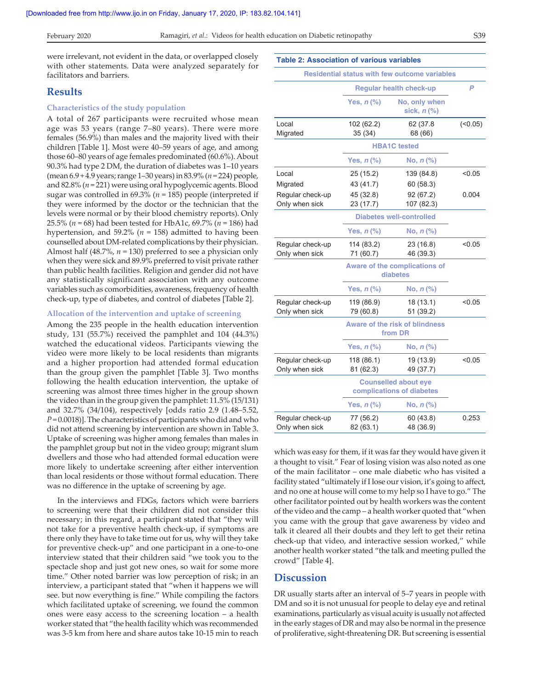were irrelevant, not evident in the data, or overlapped closely with other statements. Data were analyzed separately for facilitators and barriers.

### **Results**

#### **Characteristics of the study population**

A total of 267 participants were recruited whose mean age was 53 years (range 7–80 years). There were more females (56.9%) than males and the majority lived with their children [Table 1]. Most were 40–59 years of age, and among those 60–80 years of age females predominated (60.6%). About 90.3% had type 2 DM, the duration of diabetes was 1–10 years (mean 6.9 + 4.9 years; range 1–30 years) in 83.9% (*n* = 224) people, and 82.8% (*n* = 221) were using oral hypoglycemic agents. Blood sugar was controlled in 69.3% (*n* = 185) people (interpreted if they were informed by the doctor or the technician that the levels were normal or by their blood chemistry reports). Only 25.5% (*n* = 68) had been tested for HbA1c, 69.7% (*n* = 186) had hypertension, and 59.2% ( $n = 158$ ) admitted to having been counselled about DM‑related complications by their physician. Almost half (48.7%, *n* = 130) preferred to see a physician only when they were sick and 89.9% preferred to visit private rather than public health facilities. Religion and gender did not have any statistically significant association with any outcome variables such as comorbidities, awareness, frequency of health check‑up, type of diabetes, and control of diabetes [Table 2].

#### **Allocation of the intervention and uptake of screening**

Among the 235 people in the health education intervention study, 131 (55.7%) received the pamphlet and 104 (44.3%) watched the educational videos. Participants viewing the video were more likely to be local residents than migrants and a higher proportion had attended formal education than the group given the pamphlet [Table 3]. Two months following the health education intervention, the uptake of screening was almost three times higher in the group shown the video than in the group given the pamphlet: 11.5% (15/131) and 32.7% (34/104), respectively [odds ratio 2.9 (1.48–5.52, *P* = 0.0018)]. The characteristics of participants who did and who did not attend screening by intervention are shown in Table 3. Uptake of screening was higher among females than males in the pamphlet group but not in the video group; migrant slum dwellers and those who had attended formal education were more likely to undertake screening after either intervention than local residents or those without formal education. There was no difference in the uptake of screening by age.

In the interviews and FDGs, factors which were barriers to screening were that their children did not consider this necessary; in this regard, a participant stated that "they will not take for a preventive health check‑up, if symptoms are there only they have to take time out for us, why will they take for preventive check-up" and one participant in a one-to-one interview stated that their children said "we took you to the spectacle shop and just got new ones, so wait for some more time." Other noted barrier was low perception of risk; in an interview, a participant stated that "when it happens we will see. but now everything is fine." While compiling the factors which facilitated uptake of screening, we found the common ones were easy access to the screening location – a health worker stated that "the health facility which was recommended was 3‑5 km from here and share autos take 10‑15 min to reach

| <b>Table 2: Association of various variables</b> |                                                  |                                                      |         |  |  |  |  |
|--------------------------------------------------|--------------------------------------------------|------------------------------------------------------|---------|--|--|--|--|
|                                                  |                                                  | <b>Residential status with few outcome variables</b> |         |  |  |  |  |
|                                                  | <b>Regular health check-up</b>                   | P                                                    |         |  |  |  |  |
|                                                  | Yes, <i>n</i> (%)                                | No, only when<br>sick, $n$ $%$                       |         |  |  |  |  |
| Local<br>Migrated                                | 102 (62.2)<br>35 (34)                            | 62 (37.8<br>68 (66)                                  | (<0.05) |  |  |  |  |
|                                                  | <b>HBA1C</b> tested                              |                                                      |         |  |  |  |  |
|                                                  | Yes, $n$ (%)                                     | No, $n$ (%)                                          |         |  |  |  |  |
| Local                                            | 25 (15.2)                                        | 139 (84.8)                                           | < 0.05  |  |  |  |  |
| Migrated                                         | 43 (41.7)                                        | 60 (58.3)                                            |         |  |  |  |  |
| Regular check-up                                 | 45 (32.8)                                        | 92 (67.2)                                            | 0.004   |  |  |  |  |
| Only when sick                                   | 23 (17.7)                                        | 107 (82.3)                                           |         |  |  |  |  |
|                                                  | <b>Diabetes well-controlled</b>                  |                                                      |         |  |  |  |  |
|                                                  | Yes, $n$ (%)                                     | No, $n$ (%)                                          |         |  |  |  |  |
| Regular check-up                                 | 114 (83.2)                                       | 23 (16.8)                                            | < 0.05  |  |  |  |  |
| Only when sick                                   | 71 (60.7)                                        | 46 (39.3)                                            |         |  |  |  |  |
|                                                  | Aware of the complications of<br>diabetes        |                                                      |         |  |  |  |  |
|                                                  | Yes, $n$ (%)                                     | No, $n$ (%)                                          |         |  |  |  |  |
| Regular check-up                                 | 119 (86.9)                                       | 18 (13.1)                                            | < 0.05  |  |  |  |  |
| Only when sick                                   | 79 (60.8)                                        | 51 (39.2)                                            |         |  |  |  |  |
|                                                  | <b>Aware of the risk of blindness</b><br>from DR |                                                      |         |  |  |  |  |
|                                                  | Yes, $n$ (%)                                     | No, $n$ (%)                                          |         |  |  |  |  |
| Regular check-up                                 | 118 (86.1)                                       | 19 (13.9)                                            | < 0.05  |  |  |  |  |
| Only when sick                                   | 81 (62.3)                                        | 49 (37.7)                                            |         |  |  |  |  |
|                                                  | <b>Counselled about eye</b>                      |                                                      |         |  |  |  |  |
|                                                  | complications of diabetes                        |                                                      |         |  |  |  |  |
|                                                  | Yes, $n$ (%)                                     | No, $n$ $%$                                          |         |  |  |  |  |
| Regular check-up                                 | 77 (56.2)                                        | 60 (43.8)                                            | 0.253   |  |  |  |  |
| Only when sick                                   | 82 (63.1)                                        | 48 (36.9)                                            |         |  |  |  |  |

which was easy for them, if it was far they would have given it a thought to visit." Fear of losing vision was also noted as one of the main facilitator – one male diabetic who has visited a facility stated "ultimately if I lose our vision, it's going to affect, and no one at house will come to my help so I have to go." The other facilitator pointed out by health workers was the content of the video and the camp – a health worker quoted that "when you came with the group that gave awareness by video and talk it cleared all their doubts and they left to get their retina check‑up that video, and interactive session worked," while another health worker stated "the talk and meeting pulled the crowd" [Table 4].

### **Discussion**

DR usually starts after an interval of 5–7 years in people with DM and so it is not unusual for people to delay eye and retinal examinations, particularly as visual acuity is usually not affected in the early stages of DR and may also be normal in the presence of proliferative, sight‑threatening DR. But screening is essential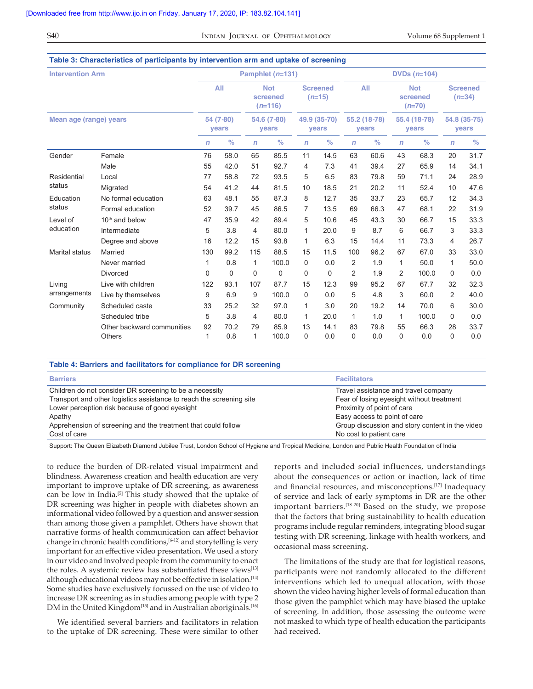S40 **INDIAN JOURNAL OF OPHTHALMOLOGY** Volume 68 Supplement 1

| <b>Intervention Arm</b><br>Mean age (range) years |                            | Pamphlet $(n=131)$ |          |                      |                                     |                       | DVDs $(n=104)$              |                       |      |                       |                                    |                              |                             |
|---------------------------------------------------|----------------------------|--------------------|----------|----------------------|-------------------------------------|-----------------------|-----------------------------|-----------------------|------|-----------------------|------------------------------------|------------------------------|-----------------------------|
|                                                   |                            |                    | AII      |                      | <b>Not</b><br>screened<br>$(n=116)$ |                       | <b>Screened</b><br>$(n=15)$ |                       | All  |                       | <b>Not</b><br>screened<br>$(n=70)$ |                              | <b>Screened</b><br>$(n=34)$ |
|                                                   |                            | 54 (7-80)<br>years |          | 54.6 (7-80)<br>years |                                     | 49.9 (35-70)<br>years |                             | 55.2 (18-78)<br>years |      | 55.4 (18-78)<br>years |                                    | 54.8 (35-75)<br><b>vears</b> |                             |
|                                                   |                            | $\mathsf{n}$       | $\%$     | $\mathsf{n}$         | $\%$                                | n                     | $\%$                        | $\mathsf{n}$          | $\%$ | $\mathsf{n}$          | $\%$                               | $\mathsf{n}$                 | $\%$                        |
| Gender                                            | Female                     | 76                 | 58.0     | 65                   | 85.5                                | 11                    | 14.5                        | 63                    | 60.6 | 43                    | 68.3                               | 20                           | 31.7                        |
|                                                   | Male                       | 55                 | 42.0     | 51                   | 92.7                                | 4                     | 7.3                         | 41                    | 39.4 | 27                    | 65.9                               | 14                           | 34.1                        |
| Residential<br>status                             | Local                      | 77                 | 58.8     | 72                   | 93.5                                | 5                     | 6.5                         | 83                    | 79.8 | 59                    | 71.1                               | 24                           | 28.9                        |
|                                                   | Migrated                   | 54                 | 41.2     | 44                   | 81.5                                | 10                    | 18.5                        | 21                    | 20.2 | 11                    | 52.4                               | 10                           | 47.6                        |
| Education                                         | No formal education        | 63                 | 48.1     | 55                   | 87.3                                | 8                     | 12.7                        | 35                    | 33.7 | 23                    | 65.7                               | 12                           | 34.3                        |
| status                                            | Formal education           | 52                 | 39.7     | 45                   | 86.5                                | 7                     | 13.5                        | 69                    | 66.3 | 47                    | 68.1                               | 22                           | 31.9                        |
| Level of                                          | 10 <sup>th</sup> and below | 47                 | 35.9     | 42                   | 89.4                                | 5                     | 10.6                        | 45                    | 43.3 | 30                    | 66.7                               | 15                           | 33.3                        |
| education                                         | Intermediate               | 5                  | 3.8      | 4                    | 80.0                                | 1                     | 20.0                        | 9                     | 8.7  | 6                     | 66.7                               | 3                            | 33.3                        |
|                                                   | Degree and above           | 16                 | 12.2     | 15                   | 93.8                                | 1                     | 6.3                         | 15                    | 14.4 | 11                    | 73.3                               | 4                            | 26.7                        |
| Marital status                                    | Married                    | 130                | 99.2     | 115                  | 88.5                                | 15                    | 11.5                        | 100                   | 96.2 | 67                    | 67.0                               | 33                           | 33.0                        |
|                                                   | Never married              | 1                  | 0.8      | $\mathbf{1}$         | 100.0                               | 0                     | 0.0                         | 2                     | 1.9  | 1                     | 50.0                               | 1                            | 50.0                        |
|                                                   | <b>Divorced</b>            | $\Omega$           | $\Omega$ | $\Omega$             | $\mathbf 0$                         | 0                     | 0                           | $\overline{2}$        | 1.9  | 2                     | 100.0                              | $\Omega$                     | 0.0                         |
| Living<br>arrangements                            | Live with children         | 122                | 93.1     | 107                  | 87.7                                | 15                    | 12.3                        | 99                    | 95.2 | 67                    | 67.7                               | 32                           | 32.3                        |
|                                                   | Live by themselves         | 9                  | 6.9      | 9                    | 100.0                               | 0                     | 0.0                         | 5                     | 4.8  | 3                     | 60.0                               | 2                            | 40.0                        |
| Community                                         | Scheduled caste            | 33                 | 25.2     | 32                   | 97.0                                | 1                     | 3.0                         | 20                    | 19.2 | 14                    | 70.0                               | 6                            | 30.0                        |
|                                                   | Scheduled tribe            | 5                  | 3.8      | 4                    | 80.0                                | 1                     | 20.0                        | $\mathbf{1}$          | 1.0  | $\mathbf{1}$          | 100.0                              | 0                            | 0.0                         |
|                                                   | Other backward communities | 92                 | 70.2     | 79                   | 85.9                                | 13                    | 14.1                        | 83                    | 79.8 | 55                    | 66.3                               | 28                           | 33.7                        |
|                                                   | Others                     | 1                  | 0.8      | $\mathbf{1}$         | 100.0                               | 0                     | 0.0                         | 0                     | 0.0  | 0                     | 0.0                                | $\Omega$                     | 0.0                         |

### **Table 4: Barriers and facilitators for compliance for DR screening**

| <b>Barriers</b>                                                      | <b>Facilitators</b>                             |
|----------------------------------------------------------------------|-------------------------------------------------|
| Children do not consider DR screening to be a necessity              | Travel assistance and travel company            |
| Transport and other logistics assistance to reach the screening site | Fear of losing eyesight without treatment       |
| Lower perception risk because of good eyesight                       | Proximity of point of care                      |
| Apathy                                                               | Easy access to point of care                    |
| Apprehension of screening and the treatment that could follow        | Group discussion and story content in the video |
| Cost of care                                                         | No cost to patient care                         |

Support: The Queen Elizabeth Diamond Jubilee Trust, London School of Hygiene and Tropical Medicine, London and Public Health Foundation of India

to reduce the burden of DR-related visual impairment and blindness. Awareness creation and health education are very important to improve uptake of DR screening, as awareness can be low in India.[5] This study showed that the uptake of DR screening was higher in people with diabetes shown an informational video followed by a question and answer session than among those given a pamphlet. Others have shown that narrative forms of health communication can affect behavior change in chronic health conditions,<sup>[6-12]</sup> and storytelling is very important for an effective video presentation. We used a story in our video and involved people from the community to enact the roles. A systemic review has substantiated these views[13] although educational videos may not be effective in isolation.<sup>[14]</sup> Some studies have exclusively focussed on the use of video to increase DR screening as in studies among people with type 2 DM in the United Kingdom<sup>[15]</sup> and in Australian aboriginals.<sup>[16]</sup>

We identified several barriers and facilitators in relation to the uptake of DR screening. These were similar to other reports and included social influences, understandings about the consequences or action or inaction, lack of time and financial resources, and misconceptions.[17] Inadequacy of service and lack of early symptoms in DR are the other important barriers.<sup>[18-20]</sup> Based on the study, we propose that the factors that bring sustainability to health education programs include regular reminders, integrating blood sugar testing with DR screening, linkage with health workers, and occasional mass screening.

The limitations of the study are that for logistical reasons, participants were not randomly allocated to the different interventions which led to unequal allocation, with those shown the video having higher levels of formal education than those given the pamphlet which may have biased the uptake of screening. In addition, those assessing the outcome were not masked to which type of health education the participants had received.